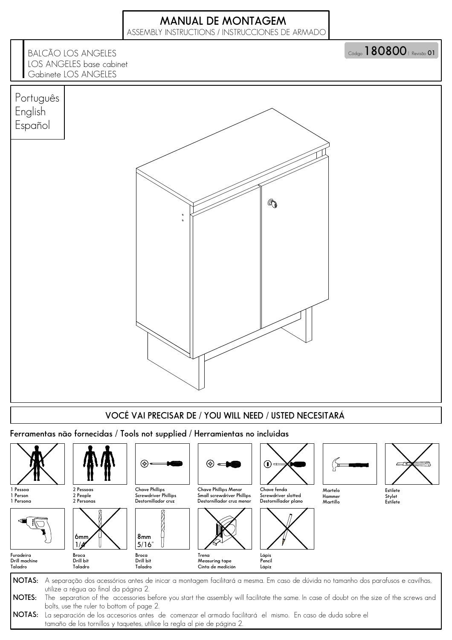## MANUAL DE MONTAGEM

ASSEMBLY INSTRUCTIONS / INSTRUCCIONES DE ARMADO



NOTAS: La separación de los accesorios antes de comenzar el armado facilitará el mismo. En caso de duda sobre el tamaño de los tornillos y taquetes, utilice la regla al pie de página 2.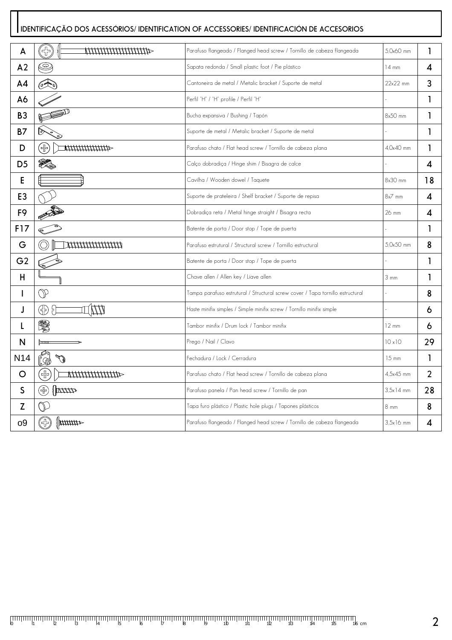## IDENTIFICAÇÃO DOS ACESSÓRIOS/ IDENTIFICATION OF ACCESSORIES/ IDENTIFICACIÓN DE ACCESORIOS

| A              | 35<br>411111111111111111111       | Parafuso flangeado / Flanged head screw / Tornillo de cabeza flangeada         | 5.0x60 mm        | 1                |
|----------------|-----------------------------------|--------------------------------------------------------------------------------|------------------|------------------|
| A <sub>2</sub> | C                                 | Sapata redonda / Small plastic foot / Pie plástico                             | $14 \text{ mm}$  | 4                |
| A4             | (2)                               | Cantoneira de metal / Metalic bracket / Suporte de metal                       | $22x22$ mm       | 3                |
| A6             |                                   | Perfil "H" / "H" profile / Perfil "H"                                          |                  | 1                |
| <b>B3</b>      | FE                                | Bucha expansiva / Bushing / Tapón                                              | 8x50 mm          | 1                |
| <b>B7</b>      | চি                                | Suporte de metal / Metalic bracket / Suporte de metal                          |                  | 1                |
| D              | Œ)<br>44444444444                 | Parafuso chato / Flat head screw / Tornillo de cabeza plana                    | 4.0x40 mm        | 1                |
| D <sub>5</sub> | Y.                                | Calço dobradiça / Hinge shim / Bisagra de calce                                |                  | $\boldsymbol{4}$ |
| Е              |                                   | Cavilha / Wooden dowel / Taquete                                               | 8x30 mm          | 18               |
| E <sub>3</sub> |                                   | Suporte de prateleira / Shelf bracket / Suporte de repisa                      | $8x^7$ mm        | 4                |
| F <sub>9</sub> |                                   | Dobradiça reta / Metal hinge straight / Bisagra recta                          | 26 mm            | 4                |
| F17            |                                   | Batente de porta / Door stop / Tope de puerta                                  |                  | 1                |
| G              |                                   | Parafuso estrutural / Structural screw / Tornillo estructural                  | 5.0x50 mm        | 8                |
| G <sub>2</sub> |                                   | Batente de porta / Door stop / Tope de puerta                                  |                  | 1                |
| H              |                                   | Chave allen / Allen key / Liave allen                                          | $3 \, \text{mm}$ | ı                |
| ı              | $\mathbb{O}$                      | Tampa parafuso estrutural / Structural screw cover / Tapa tornillo estructural |                  | 8                |
| J              | ⊕<br>$\Theta$<br>W                | Haste minifix simples / Simple minifix screw / Tornillo minifix simple         |                  | 6                |
| L              | 圜                                 | Tambor minifix / Drum lock / Tambor minifix                                    | $12 \text{ mm}$  | 6                |
| N              |                                   | Prego / Nail / Clavo                                                           | 10x10            | 29               |
| <b>N14</b>     | V<br>,XÒ                          | Fechadura / Lock / Cerradura                                                   | 15 mm            | 1                |
| O              | $\bigoplus$<br>44444444444        | Parafuso chato / Flat head screw / Tornillo de cabeza plana                    | 4.5x45 mm        | $\overline{2}$   |
| S              | $\left[\frac{1}{2}\right]$<br>(品) | Parafuso panela / Pan head screw / Tornillo de pan                             | $3.5x14$ mm      | 28               |
| Z              | $\mathbb O$                       | Tapa furo plástico / Plastic hole plugs / Tapones plásticos                    | 8 mm             | 8                |
| 09             | $\ $ <i>unnn</i><br>(상)           | Parafuso flangeado / Flanged head screw / Tornillo de cabeza flangeada         | $3.5x16$ mm      | 4                |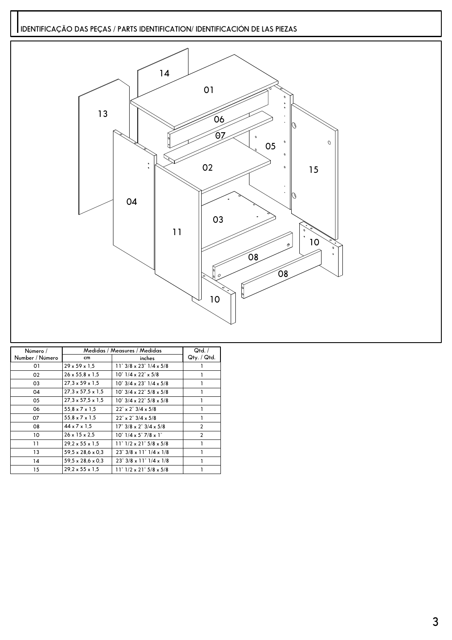## IDENTIFICAÇÃO DAS PEÇAS / PARTS IDENTIFICATION/ IDENTIFICACIÓN DE LAS PIEZAS



| Número /        | Medidas / Measures / Medidas  | Qtd. /                                                          |                   |
|-----------------|-------------------------------|-----------------------------------------------------------------|-------------------|
| Number / Número | cm                            | inches                                                          | $Q$ ty. / $Q$ td. |
| 01              | $29 \times 59 \times 1.5$     | $11"3/8 \times 23"1/4 \times 5/8$                               |                   |
| 02              | $26 \times 55.8 \times 1.5$   | $10^{\circ}$ $1/4 \times 22^{\circ} \times 5/8$                 |                   |
| 03              | $27.3 \times 59 \times 1.5$   | $10^{\circ}$ 3/4 x 23 $^{\circ}$ 1/4 x 5/8                      |                   |
| 04              | $27.3 \times 57.5 \times 1.5$ | $10^{\circ}$ 3/4 x 22 $^{\circ}$ 5/8 x 5/8                      |                   |
| 05              | $27.3 \times 57.5 \times 1.5$ | $10^{\circ}$ 3/4 x 22 $^{\circ}$ 5/8 x 5/8                      |                   |
| 06              | $55.8 \times 7 \times 1.5$    | $22^{\circ} \times 2^{\circ}$ 3/4 $\times$ 5/8                  |                   |
| 07              | $55.8 \times 7 \times 1.5$    | $22^{\circ} \times 2^{\circ}$ 3/4 $\times$ 5/8                  |                   |
| 08              | $44 \times 7 \times 1.5$      | $17^{\circ}$ 3/8 x 2 $3/4$ x 5/8                                | $\overline{2}$    |
| 10              | $26 \times 15 \times 2.5$     | $10^{\circ}$ $1/4 \times 5^{\circ}$ 7/8 $\times$ 1 <sup>"</sup> | $\overline{2}$    |
| 11              | $29.2 \times 55 \times 1.5$   | $11" 1/2 \times 21" 5/8 \times 5/8$                             |                   |
| 13              | 59,5 x 28,6 x 0,3             | $23^{\circ}$ 3/8 x 11 $^{\circ}$ 1/4 x 1/8                      |                   |
| 14              | $59.5 \times 28.6 \times 0.3$ | $23^{\circ}$ 3/8 x 11 $^{\circ}$ 1/4 x 1/8                      |                   |
| 15              | $29.2 \times 55 \times 1.5$   | $11" 1/2 \times 21" 5/8 \times 5/8$                             |                   |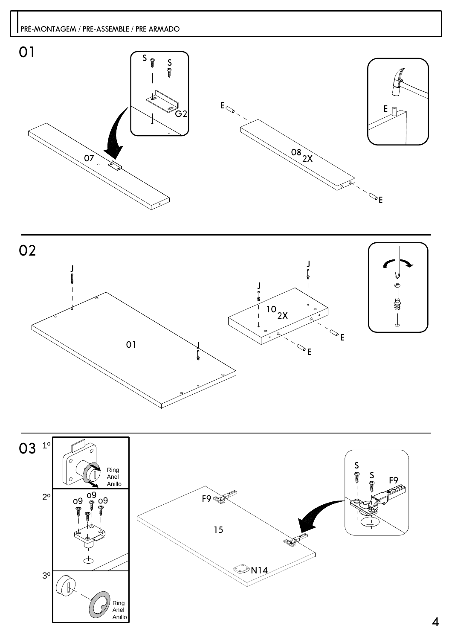



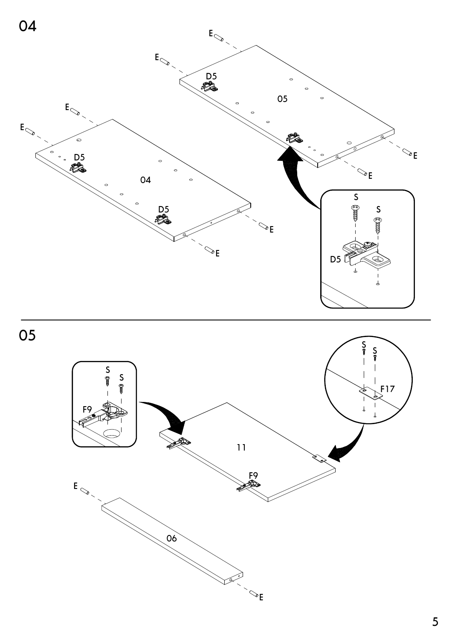



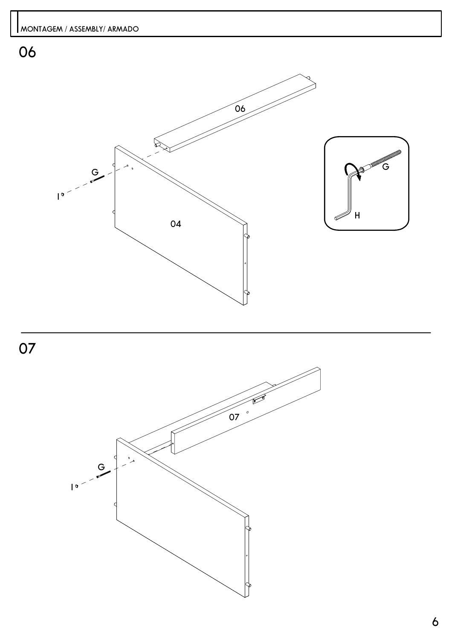

07

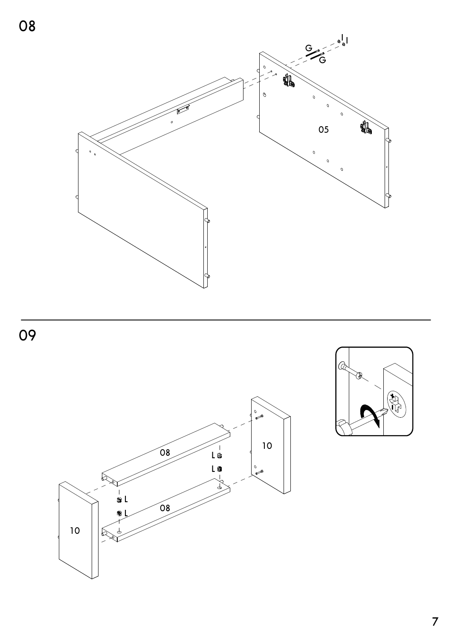





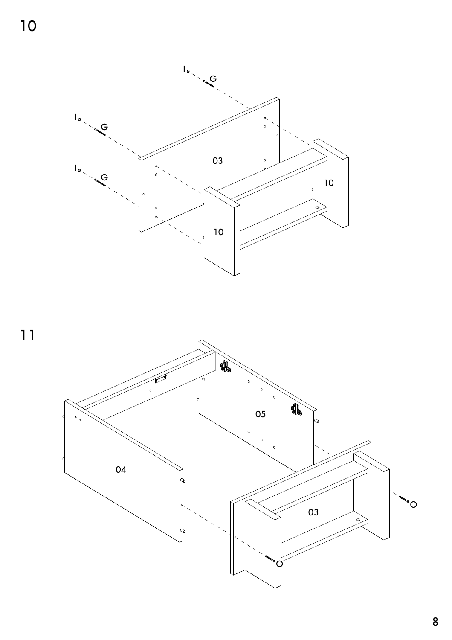

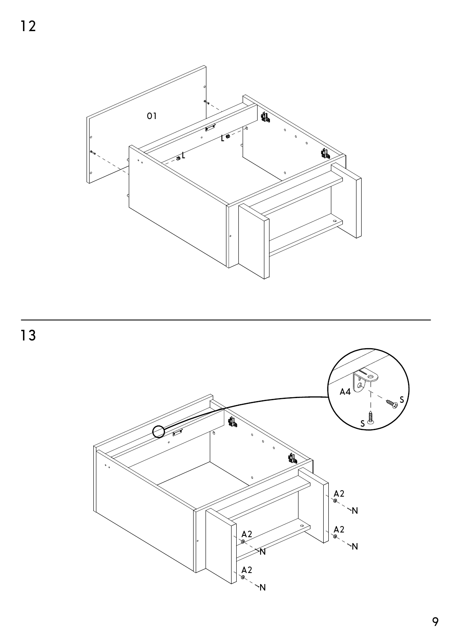



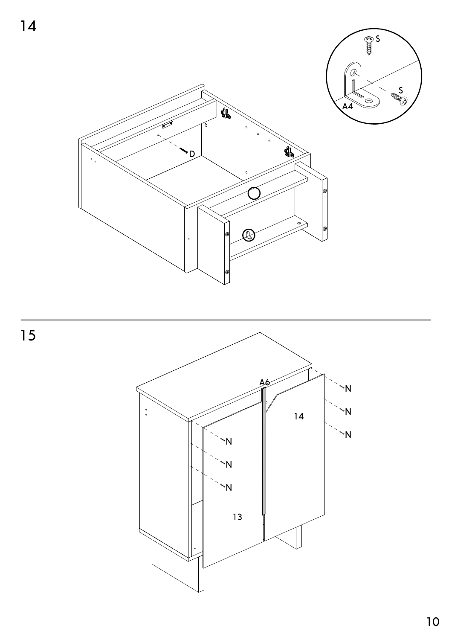



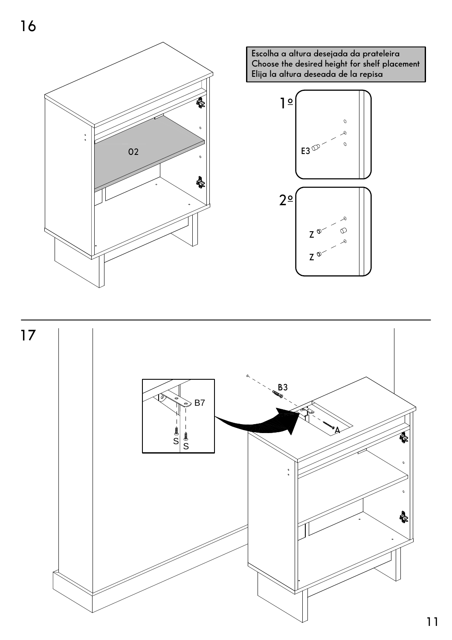

Escolha a altura desejada da prateleira<br>Choose the desired height for shelf placement<br>Elija la altura deseada de la repisa